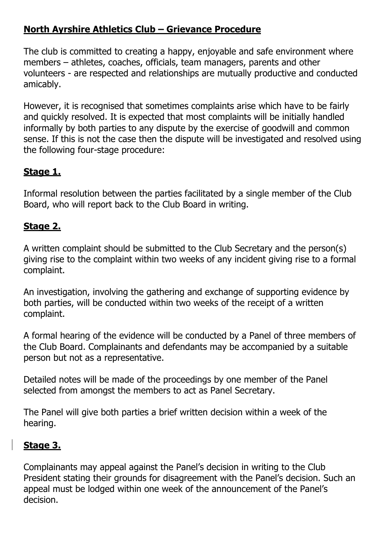## **North Ayrshire Athletics Club – Grievance Procedure**

The club is committed to creating a happy, enjoyable and safe environment where members – athletes, coaches, officials, team managers, parents and other volunteers - are respected and relationships are mutually productive and conducted amicably.

However, it is recognised that sometimes complaints arise which have to be fairly and quickly resolved. It is expected that most complaints will be initially handled informally by both parties to any dispute by the exercise of goodwill and common sense. If this is not the case then the dispute will be investigated and resolved using the following four-stage procedure:

## **Stage 1.**

Informal resolution between the parties facilitated by a single member of the Club Board, who will report back to the Club Board in writing.

## **Stage 2.**

A written complaint should be submitted to the Club Secretary and the person(s) giving rise to the complaint within two weeks of any incident giving rise to a formal complaint.

An investigation, involving the gathering and exchange of supporting evidence by both parties, will be conducted within two weeks of the receipt of a written complaint.

A formal hearing of the evidence will be conducted by a Panel of three members of the Club Board. Complainants and defendants may be accompanied by a suitable person but not as a representative.

Detailed notes will be made of the proceedings by one member of the Panel selected from amongst the members to act as Panel Secretary.

The Panel will give both parties a brief written decision within a week of the hearing.

## **Stage 3.**

Complainants may appeal against the Panel's decision in writing to the Club President stating their grounds for disagreement with the Panel's decision. Such an appeal must be lodged within one week of the announcement of the Panel's decision.